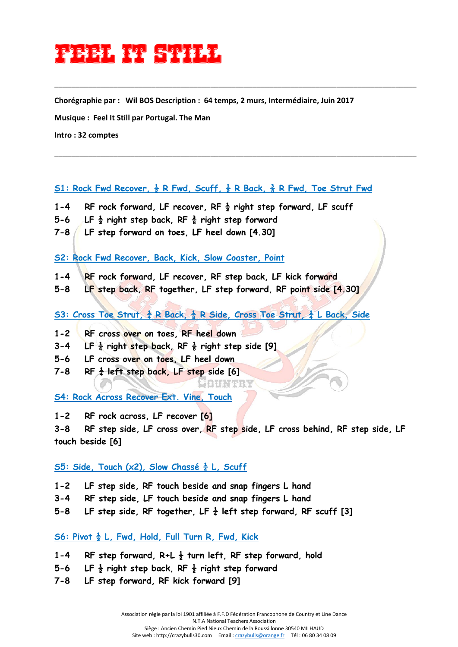# **FEEL IT STILL**

**Chorégraphie par : Wil BOS Description : 64 temps, 2 murs, Intermédiaire, Juin 2017** 

\_\_\_\_\_\_\_\_\_\_\_\_\_\_\_\_\_\_\_\_\_\_\_\_\_\_\_\_\_\_\_\_\_\_\_\_\_\_\_\_\_\_\_\_\_\_\_\_\_\_\_\_\_\_\_\_\_\_\_\_\_\_\_\_\_\_\_\_\_\_\_\_\_\_\_\_\_\_\_\_\_\_\_\_\_\_

\_\_\_\_\_\_\_\_\_\_\_\_\_\_\_\_\_\_\_\_\_\_\_\_\_\_\_\_\_\_\_\_\_\_\_\_\_\_\_\_\_\_\_\_\_\_\_\_\_\_\_\_\_\_\_\_\_\_\_\_\_\_\_\_\_\_\_\_\_\_\_\_\_\_\_\_\_\_\_\_\_\_\_\_\_\_

**Musique : Feel It Still par Portugal. The Man** 

**Intro : 32 comptes**

## **S1: Rock Fwd Recover, ½ R Fwd, Scuff, ½ R Back, ⅜ R Fwd, Toe Strut Fwd**

- **1-4 RF rock forward, LF recover, RF ½ right step forward, LF scuff**
- **5-6 LF ½ right step back, RF ⅜ right step forward**
- **7-8 LF step forward on toes, LF heel down [4.30]**

**S2: Rock Fwd Recover, Back, Kick, Slow Coaster, Point**

- **1-4 RF rock forward, LF recover, RF step back, LF kick forward**
- **5-8 LF step back, RF together, LF step forward, RF point side [4.30]**

**S3: Cross Toe Strut, ¼ R Back, ⅛ R Side, Cross Toe Strut, ¼ L Back, Side** 

- **1-2 RF cross over on toes, RF heel down**
- **3-4 LF ¼ right step back, RF ⅛ right step side [9]**
- **5-6 LF cross over on toes, LF heel down**
- **7-8 RF ¼ left step back, LF step side [6]**

**S4: Rock Across Recover Ext. Vine, Touch** 

**1-2 RF rock across, LF recover [6]** 

**3-8 RF step side, LF cross over, RF step side, LF cross behind, RF step side, LF touch beside [6]**

1011.141.

## **S5: Side, Touch (x2), Slow Chassé**  $\frac{1}{4}$  **L, Scuff**

**1-2 LF step side, RF touch beside and snap fingers L hand** 

- **3-4 RF step side, LF touch beside and snap fingers L hand**
- **5-8 LF step side, RF together, LF ¼ left step forward, RF scuff [3]**

## **S6: Pivot ½ L, Fwd, Hold, Full Turn R, Fwd, Kick**

- **1-4 RF step forward, R+L ½ turn left, RF step forward, hold**
- **5-6 LF ½ right step back, RF ½ right step forward**
- **7-8 LF step forward, RF kick forward [9]**